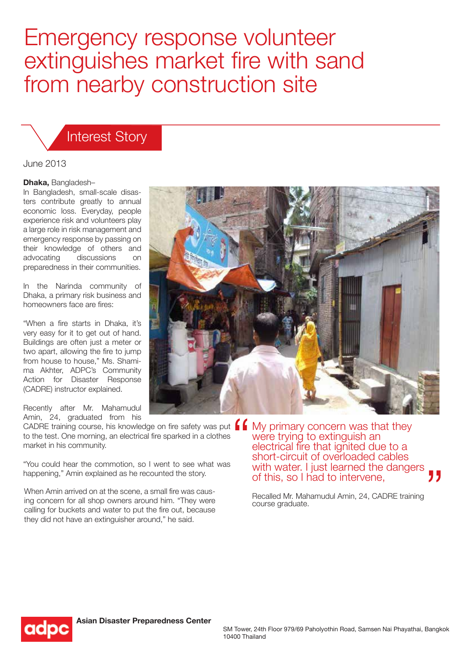# Emergency response volunteer extinguishes market fire with sand from nearby construction site

## Interest Story

#### June 2013

#### **Dhaka,** Bangladesh–

In Bangladesh, small-scale disasters contribute greatly to annual economic loss. Everyday, people experience risk and volunteers play a large role in risk management and emergency response by passing on their knowledge of others and advocating discussions on preparedness in their communities.

In the Narinda community of Dhaka, a primary risk business and homeowners face are fires:

"When a fire starts in Dhaka, it's very easy for it to get out of hand. Buildings are often just a meter or two apart, allowing the fire to jump from house to house," Ms. Shamima Akhter, ADPC's Community Action for Disaster Response (CADRE) instructor explained.

Recently after Mr. Mahamudul Amin, 24, graduated from his

CADRE training course, his knowledge on fire safety was put  $\left.\rule{0pt}{1em}\right.$ to the test. One morning, an electrical fire sparked in a clothes market in his community.

"You could hear the commotion, so I went to see what was happening," Amin explained as he recounted the story.

When Amin arrived on at the scene, a small fire was causing concern for all shop owners around him. "They were calling for buckets and water to put the fire out, because they did not have an extinguisher around," he said.



Recalled Mr. Mahamudul Amin, 24, CADRE training course graduate.

of this, so I had to intervene,